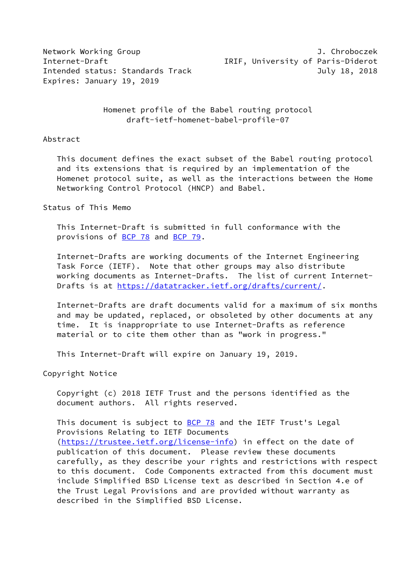Expires: January 19, 2019

Network Working Group J. Chroboczek Internet-Draft IRIF, University of Paris-Diderot Intended status: Standards Track and the Controller of the July 18, 2018

> Homenet profile of the Babel routing protocol draft-ietf-homenet-babel-profile-07

#### Abstract

 This document defines the exact subset of the Babel routing protocol and its extensions that is required by an implementation of the Homenet protocol suite, as well as the interactions between the Home Networking Control Protocol (HNCP) and Babel.

## Status of This Memo

 This Internet-Draft is submitted in full conformance with the provisions of [BCP 78](https://datatracker.ietf.org/doc/pdf/bcp78) and [BCP 79](https://datatracker.ietf.org/doc/pdf/bcp79).

 Internet-Drafts are working documents of the Internet Engineering Task Force (IETF). Note that other groups may also distribute working documents as Internet-Drafts. The list of current Internet Drafts is at<https://datatracker.ietf.org/drafts/current/>.

 Internet-Drafts are draft documents valid for a maximum of six months and may be updated, replaced, or obsoleted by other documents at any time. It is inappropriate to use Internet-Drafts as reference material or to cite them other than as "work in progress."

This Internet-Draft will expire on January 19, 2019.

Copyright Notice

 Copyright (c) 2018 IETF Trust and the persons identified as the document authors. All rights reserved.

This document is subject to [BCP 78](https://datatracker.ietf.org/doc/pdf/bcp78) and the IETF Trust's Legal Provisions Relating to IETF Documents [\(https://trustee.ietf.org/license-info](https://trustee.ietf.org/license-info)) in effect on the date of publication of this document. Please review these documents carefully, as they describe your rights and restrictions with respect to this document. Code Components extracted from this document must include Simplified BSD License text as described in Section 4.e of the Trust Legal Provisions and are provided without warranty as described in the Simplified BSD License.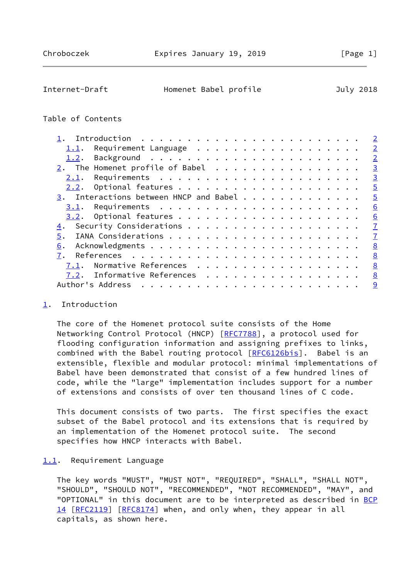<span id="page-1-1"></span>

| Internet-Draft | Homenet Babel profile | July 2018 |  |
|----------------|-----------------------|-----------|--|
|                |                       |           |  |

## Table of Contents

|                                        | $\overline{2}$ |
|----------------------------------------|----------------|
| Requirement Language<br>1.1.           | $\overline{2}$ |
| 1.2.                                   | $\overline{2}$ |
|                                        | $\overline{3}$ |
| 2.1.                                   | $\overline{3}$ |
| 2.2.                                   | $\overline{5}$ |
| 3. Interactions between HNCP and Babel | $\overline{5}$ |
| 3.1.                                   | 6              |
| 3.2.                                   | 6              |
| 4.                                     | $\overline{1}$ |
| 5.                                     | $\overline{1}$ |
| 6.                                     | 8              |
| 7.                                     | 8              |
| Normative References<br>7.1.           | 8              |
| Informative References<br>7.2.         | 8              |
| Author's Address                       | 9              |
|                                        |                |

### <span id="page-1-0"></span>[1](#page-1-0). Introduction

 The core of the Homenet protocol suite consists of the Home Networking Control Protocol (HNCP) [[RFC7788\]](https://datatracker.ietf.org/doc/pdf/rfc7788), a protocol used for flooding configuration information and assigning prefixes to links, combined with the Babel routing protocol [\[RFC6126bis\]](#page-8-3). Babel is an extensible, flexible and modular protocol: minimal implementations of Babel have been demonstrated that consist of a few hundred lines of code, while the "large" implementation includes support for a number of extensions and consists of over ten thousand lines of C code.

 This document consists of two parts. The first specifies the exact subset of the Babel protocol and its extensions that is required by an implementation of the Homenet protocol suite. The second specifies how HNCP interacts with Babel.

### <span id="page-1-2"></span>[1.1](#page-1-2). Requirement Language

 The key words "MUST", "MUST NOT", "REQUIRED", "SHALL", "SHALL NOT", "SHOULD", "SHOULD NOT", "RECOMMENDED", "NOT RECOMMENDED", "MAY", and "OPTIONAL" in this document are to be interpreted as described in [BCP](https://datatracker.ietf.org/doc/pdf/bcp14) [14](https://datatracker.ietf.org/doc/pdf/bcp14) [[RFC2119\]](https://datatracker.ietf.org/doc/pdf/rfc2119) [\[RFC8174](https://datatracker.ietf.org/doc/pdf/rfc8174)] when, and only when, they appear in all capitals, as shown here.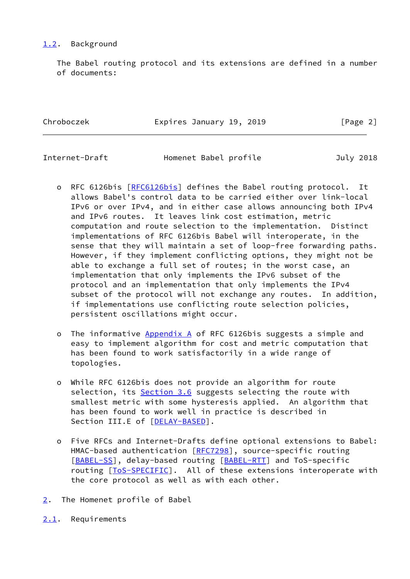# <span id="page-2-0"></span>[1.2](#page-2-0). Background

 The Babel routing protocol and its extensions are defined in a number of documents:

Chroboczek Expires January 19, 2019 [Page 2]

<span id="page-2-2"></span>

Internet-Draft Homenet Babel profile July 2018

- o RFC 6126bis [\[RFC6126bis](#page-8-3)] defines the Babel routing protocol. It allows Babel's control data to be carried either over link-local IPv6 or over IPv4, and in either case allows announcing both IPv4 and IPv6 routes. It leaves link cost estimation, metric computation and route selection to the implementation. Distinct implementations of RFC 6126bis Babel will interoperate, in the sense that they will maintain a set of loop-free forwarding paths. However, if they implement conflicting options, they might not be able to exchange a full set of routes; in the worst case, an implementation that only implements the IPv6 subset of the protocol and an implementation that only implements the IPv4 subset of the protocol will not exchange any routes. In addition, if implementations use conflicting route selection policies, persistent oscillations might occur.
- o The informative Appendix A of RFC 6126bis suggests a simple and easy to implement algorithm for cost and metric computation that has been found to work satisfactorily in a wide range of topologies.
- o While RFC 6126bis does not provide an algorithm for route selection, its Section 3.6 suggests selecting the route with smallest metric with some hysteresis applied. An algorithm that has been found to work well in practice is described in Section III.E of [\[DELAY-BASED](#page-8-4)].
- o Five RFCs and Internet-Drafts define optional extensions to Babel: HMAC-based authentication [\[RFC7298](https://datatracker.ietf.org/doc/pdf/rfc7298)], source-specific routing [[BABEL-SS\]](#page-8-5), delay-based routing [[BABEL-RTT\]](#page-8-6) and ToS-specific routing [[ToS-SPECIFIC\]](#page-9-1). All of these extensions interoperate with the core protocol as well as with each other.
- <span id="page-2-1"></span>[2](#page-2-1). The Homenet profile of Babel
- <span id="page-2-3"></span>[2.1](#page-2-3). Requirements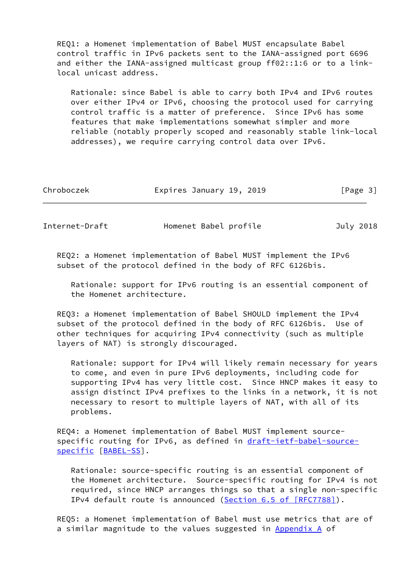REQ1: a Homenet implementation of Babel MUST encapsulate Babel control traffic in IPv6 packets sent to the IANA-assigned port 6696 and either the IANA-assigned multicast group ff02::1:6 or to a link local unicast address.

 Rationale: since Babel is able to carry both IPv4 and IPv6 routes over either IPv4 or IPv6, choosing the protocol used for carrying control traffic is a matter of preference. Since IPv6 has some features that make implementations somewhat simpler and more reliable (notably properly scoped and reasonably stable link-local addresses), we require carrying control data over IPv6.

| Chroboczek | Expires January 19, 2019 | [Page 3] |
|------------|--------------------------|----------|
|            |                          |          |

Internet-Draft Homenet Babel profile 3uly 2018

 REQ2: a Homenet implementation of Babel MUST implement the IPv6 subset of the protocol defined in the body of RFC 6126bis.

 Rationale: support for IPv6 routing is an essential component of the Homenet architecture.

 REQ3: a Homenet implementation of Babel SHOULD implement the IPv4 subset of the protocol defined in the body of RFC 6126bis. Use of other techniques for acquiring IPv4 connectivity (such as multiple layers of NAT) is strongly discouraged.

 Rationale: support for IPv4 will likely remain necessary for years to come, and even in pure IPv6 deployments, including code for supporting IPv4 has very little cost. Since HNCP makes it easy to assign distinct IPv4 prefixes to the links in a network, it is not necessary to resort to multiple layers of NAT, with all of its problems.

 REQ4: a Homenet implementation of Babel MUST implement source specific routing for IPv6, as defined in [draft-ietf-babel-source](https://datatracker.ietf.org/doc/pdf/draft-ietf-babel-source-specific) [specific](https://datatracker.ietf.org/doc/pdf/draft-ietf-babel-source-specific) [\[BABEL-SS](#page-8-5)].

 Rationale: source-specific routing is an essential component of the Homenet architecture. Source-specific routing for IPv4 is not required, since HNCP arranges things so that a single non-specific IPv4 default route is announced (Section [6.5 of \[RFC7788\]\)](https://datatracker.ietf.org/doc/pdf/rfc7788#section-6.5).

 REQ5: a Homenet implementation of Babel must use metrics that are of a similar magnitude to the values suggested in Appendix A of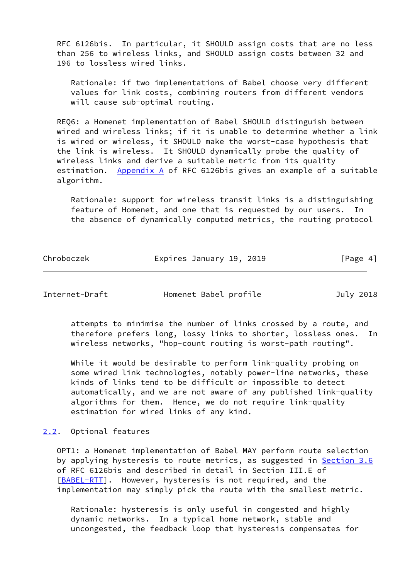RFC 6126bis. In particular, it SHOULD assign costs that are no less than 256 to wireless links, and SHOULD assign costs between 32 and 196 to lossless wired links.

 Rationale: if two implementations of Babel choose very different values for link costs, combining routers from different vendors will cause sub-optimal routing.

 REQ6: a Homenet implementation of Babel SHOULD distinguish between wired and wireless links; if it is unable to determine whether a link is wired or wireless, it SHOULD make the worst-case hypothesis that the link is wireless. It SHOULD dynamically probe the quality of wireless links and derive a suitable metric from its quality estimation. Appendix A of RFC 6126bis gives an example of a suitable algorithm.

 Rationale: support for wireless transit links is a distinguishing feature of Homenet, and one that is requested by our users. In the absence of dynamically computed metrics, the routing protocol

| Chroboczek | Expires January 19, 2019 | [Page 4] |
|------------|--------------------------|----------|
|            |                          |          |

<span id="page-4-1"></span>Internet-Draft Homenet Babel profile July 2018

 attempts to minimise the number of links crossed by a route, and therefore prefers long, lossy links to shorter, lossless ones. In wireless networks, "hop-count routing is worst-path routing".

While it would be desirable to perform link-quality probing on some wired link technologies, notably power-line networks, these kinds of links tend to be difficult or impossible to detect automatically, and we are not aware of any published link-quality algorithms for them. Hence, we do not require link-quality estimation for wired links of any kind.

# <span id="page-4-0"></span>[2.2](#page-4-0). Optional features

 OPT1: a Homenet implementation of Babel MAY perform route selection by applying hysteresis to route metrics, as suggested in Section 3.6 of RFC 6126bis and described in detail in Section III.E of [\[BABEL-RTT](#page-8-6)]. However, hysteresis is not required, and the implementation may simply pick the route with the smallest metric.

 Rationale: hysteresis is only useful in congested and highly dynamic networks. In a typical home network, stable and uncongested, the feedback loop that hysteresis compensates for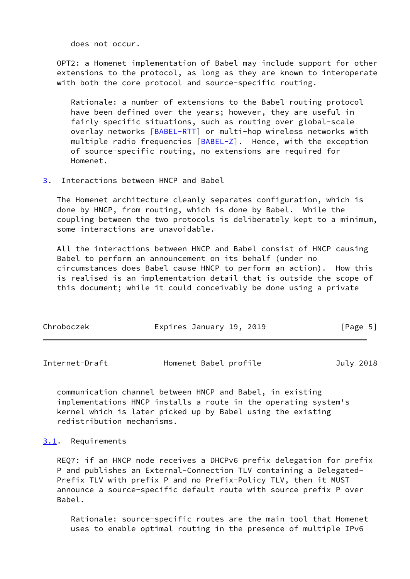does not occur.

 OPT2: a Homenet implementation of Babel may include support for other extensions to the protocol, as long as they are known to interoperate with both the core protocol and source-specific routing.

 Rationale: a number of extensions to the Babel routing protocol have been defined over the years; however, they are useful in fairly specific situations, such as routing over global-scale overlay networks [\[BABEL-RTT](#page-8-6)] or multi-hop wireless networks with multiple radio frequencies [[BABEL-Z](#page-8-7)]. Hence, with the exception of source-specific routing, no extensions are required for Homenet.

<span id="page-5-0"></span>[3](#page-5-0). Interactions between HNCP and Babel

 The Homenet architecture cleanly separates configuration, which is done by HNCP, from routing, which is done by Babel. While the coupling between the two protocols is deliberately kept to a minimum, some interactions are unavoidable.

 All the interactions between HNCP and Babel consist of HNCP causing Babel to perform an announcement on its behalf (under no circumstances does Babel cause HNCP to perform an action). How this is realised is an implementation detail that is outside the scope of this document; while it could conceivably be done using a private

| Chroboczek | Expires January 19, 2019 |  | [Page 5] |  |
|------------|--------------------------|--|----------|--|
|            |                          |  |          |  |

<span id="page-5-2"></span>

| Internet-Draft | Homenet Babel profile | July 2018 |
|----------------|-----------------------|-----------|
|----------------|-----------------------|-----------|

 communication channel between HNCP and Babel, in existing implementations HNCP installs a route in the operating system's kernel which is later picked up by Babel using the existing redistribution mechanisms.

### <span id="page-5-1"></span>[3.1](#page-5-1). Requirements

 REQ7: if an HNCP node receives a DHCPv6 prefix delegation for prefix P and publishes an External-Connection TLV containing a Delegated- Prefix TLV with prefix P and no Prefix-Policy TLV, then it MUST announce a source-specific default route with source prefix P over Babel.

 Rationale: source-specific routes are the main tool that Homenet uses to enable optimal routing in the presence of multiple IPv6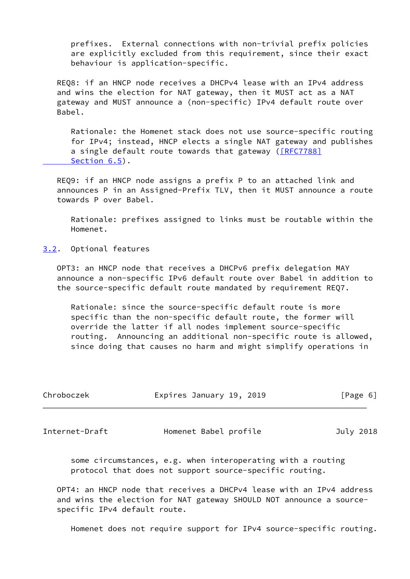prefixes. External connections with non-trivial prefix policies are explicitly excluded from this requirement, since their exact behaviour is application-specific.

 REQ8: if an HNCP node receives a DHCPv4 lease with an IPv4 address and wins the election for NAT gateway, then it MUST act as a NAT gateway and MUST announce a (non-specific) IPv4 default route over Babel.

 Rationale: the Homenet stack does not use source-specific routing for IPv4; instead, HNCP elects a single NAT gateway and publishes a single default route towards that gateway (*[RFC7788]* Section 6.5).

 REQ9: if an HNCP node assigns a prefix P to an attached link and announces P in an Assigned-Prefix TLV, then it MUST announce a route towards P over Babel.

 Rationale: prefixes assigned to links must be routable within the Homenet.

<span id="page-6-0"></span>[3.2](#page-6-0). Optional features

 OPT3: an HNCP node that receives a DHCPv6 prefix delegation MAY announce a non-specific IPv6 default route over Babel in addition to the source-specific default route mandated by requirement REQ7.

 Rationale: since the source-specific default route is more specific than the non-specific default route, the former will override the latter if all nodes implement source-specific routing. Announcing an additional non-specific route is allowed, since doing that causes no harm and might simplify operations in

| Chroboczek | Expires January 19, 2019 |  | [Page 6] |  |
|------------|--------------------------|--|----------|--|
|            |                          |  |          |  |

<span id="page-6-1"></span>Internet-Draft Homenet Babel profile July 2018

 some circumstances, e.g. when interoperating with a routing protocol that does not support source-specific routing.

 OPT4: an HNCP node that receives a DHCPv4 lease with an IPv4 address and wins the election for NAT gateway SHOULD NOT announce a source specific IPv4 default route.

Homenet does not require support for IPv4 source-specific routing.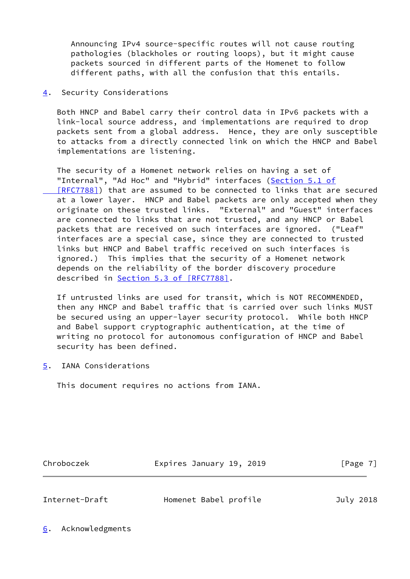Announcing IPv4 source-specific routes will not cause routing pathologies (blackholes or routing loops), but it might cause packets sourced in different parts of the Homenet to follow different paths, with all the confusion that this entails.

<span id="page-7-0"></span>[4](#page-7-0). Security Considerations

 Both HNCP and Babel carry their control data in IPv6 packets with a link-local source address, and implementations are required to drop packets sent from a global address. Hence, they are only susceptible to attacks from a directly connected link on which the HNCP and Babel implementations are listening.

 The security of a Homenet network relies on having a set of "Internal", "Ad Hoc" and "Hybrid" interfaces [\(Section](https://datatracker.ietf.org/doc/pdf/rfc7788#section-5.1) 5.1 of  [\[RFC7788\]](https://datatracker.ietf.org/doc/pdf/rfc7788#section-5.1)) that are assumed to be connected to links that are secured at a lower layer. HNCP and Babel packets are only accepted when they originate on these trusted links. "External" and "Guest" interfaces are connected to links that are not trusted, and any HNCP or Babel packets that are received on such interfaces are ignored. ("Leaf" interfaces are a special case, since they are connected to trusted links but HNCP and Babel traffic received on such interfaces is ignored.) This implies that the security of a Homenet network depends on the reliability of the border discovery procedure described in Section [5.3 of \[RFC7788\]](https://datatracker.ietf.org/doc/pdf/rfc7788#section-5.3).

 If untrusted links are used for transit, which is NOT RECOMMENDED, then any HNCP and Babel traffic that is carried over such links MUST be secured using an upper-layer security protocol. While both HNCP and Babel support cryptographic authentication, at the time of writing no protocol for autonomous configuration of HNCP and Babel security has been defined.

<span id="page-7-1"></span>[5](#page-7-1). IANA Considerations

This document requires no actions from IANA.

Chroboczek **Expires January 19, 2019** [Page 7]

<span id="page-7-3"></span>

Internet-Draft Homenet Babel profile July 2018

<span id="page-7-2"></span>[6](#page-7-2). Acknowledgments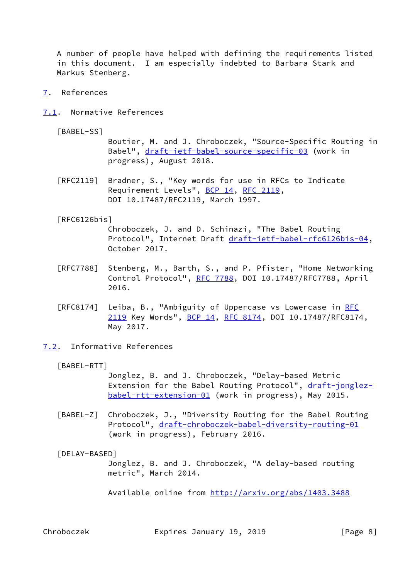A number of people have helped with defining the requirements listed in this document. I am especially indebted to Barbara Stark and Markus Stenberg.

- <span id="page-8-0"></span>[7](#page-8-0). References
- <span id="page-8-1"></span>[7.1](#page-8-1). Normative References

<span id="page-8-5"></span>[BABEL-SS]

 Boutier, M. and J. Chroboczek, "Source-Specific Routing in Babel", [draft-ietf-babel-source-specific-03](https://datatracker.ietf.org/doc/pdf/draft-ietf-babel-source-specific-03) (work in progress), August 2018.

 [RFC2119] Bradner, S., "Key words for use in RFCs to Indicate Requirement Levels", [BCP 14](https://datatracker.ietf.org/doc/pdf/bcp14), [RFC 2119](https://datatracker.ietf.org/doc/pdf/rfc2119), DOI 10.17487/RFC2119, March 1997.

#### <span id="page-8-3"></span>[RFC6126bis]

 Chroboczek, J. and D. Schinazi, "The Babel Routing Protocol", Internet Draft [draft-ietf-babel-rfc6126bis-04](https://datatracker.ietf.org/doc/pdf/draft-ietf-babel-rfc6126bis-04), October 2017.

- [RFC7788] Stenberg, M., Barth, S., and P. Pfister, "Home Networking Control Protocol", [RFC 7788](https://datatracker.ietf.org/doc/pdf/rfc7788), DOI 10.17487/RFC7788, April 2016.
- [RFC8174] Leiba, B., "Ambiguity of Uppercase vs Lowercase in [RFC](https://datatracker.ietf.org/doc/pdf/rfc2119) [2119](https://datatracker.ietf.org/doc/pdf/rfc2119) Key Words", [BCP 14](https://datatracker.ietf.org/doc/pdf/bcp14), [RFC 8174,](https://datatracker.ietf.org/doc/pdf/rfc8174) DOI 10.17487/RFC8174, May 2017.
- <span id="page-8-6"></span><span id="page-8-2"></span>[7.2](#page-8-2). Informative References
	- [BABEL-RTT]

 Jonglez, B. and J. Chroboczek, "Delay-based Metric Extension for the Babel Routing Protocol", [draft-jonglez](https://datatracker.ietf.org/doc/pdf/draft-jonglez-babel-rtt-extension-01) [babel-rtt-extension-01](https://datatracker.ietf.org/doc/pdf/draft-jonglez-babel-rtt-extension-01) (work in progress), May 2015.

<span id="page-8-7"></span> [BABEL-Z] Chroboczek, J., "Diversity Routing for the Babel Routing Protocol", [draft-chroboczek-babel-diversity-routing-01](https://datatracker.ietf.org/doc/pdf/draft-chroboczek-babel-diversity-routing-01) (work in progress), February 2016.

### <span id="page-8-4"></span>[DELAY-BASED]

 Jonglez, B. and J. Chroboczek, "A delay-based routing metric", March 2014.

Available online from<http://arxiv.org/abs/1403.3488>

Chroboczek **Expires January 19, 2019** [Page 8]